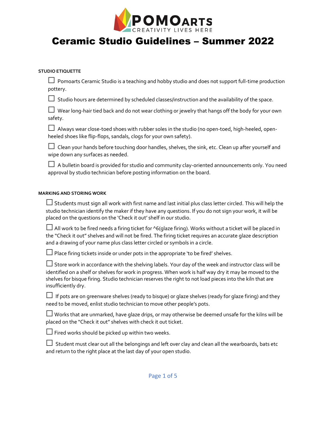

### **STUDIO ETIQUETTE**

 $\Box$  Pomoarts Ceramic Studio is a teaching and hobby studio and does not support full-time production pottery.

 $□$  Studio hours are determined by scheduled classes/instruction and the availability of the space.

 $□$  Wear long-hair tied back and do not wear clothing or jewelry that hangs off the body for your own safety.

 $\Box$  Always wear close-toed shoes with rubber soles in the studio (no open-toed, high-heeled, openheeled shoes like flip-flops, sandals, clogs for your own safety).

 $\Box$  Clean your hands before touching door handles, shelves, the sink, etc. Clean up after yourself and wipe down any surfaces as needed.

 $\Box$  A bulletin board is provided for studio and community clay-oriented announcements only. You need approval by studio technician before posting information on the board.

### **MARKING AND STORING WORK**

 $□$  Students must sign all work with first name and last initial plus class letter circled. This will help the studio technician identify the maker if they have any questions. If you do not sign your work, it will be placed on the questions on the 'Check it out' shelf in our studio.

 $\Box$  All work to be fired needs a firing ticket for ^6(glaze firing). Works without a ticket will be placed in the "Check it out" shelves and will not be fired. The firing ticket requires an accurate glaze description and a drawing of your name plus class letter circled or symbols in a circle.

 $\Box$  Place firing tickets inside or under pots in the appropriate 'to be fired' shelves.

 $□$ Store work in accordance with the shelving labels. Your day of the week and instructor class will be identified on a shelf or shelves for work in progress. When work is half way dry it may be moved to the shelves for bisque firing. Studio technician reserves the right to not load pieces into the kiln that are insufficiently dry.

 $□$  If pots are on greenware shelves (ready to bisque) or glaze shelves (ready for glaze firing) and they need to be moved, enlist studio technician to move other people's pots.

 $\Box$  Works that are unmarked, have glaze drips, or may otherwise be deemed unsafe for the kilns will be placed on the "Check it out" shelves with check it out ticket.

 $\Box$  Fired works should be picked up within two weeks.

 $□$  Student must clear out all the belongings and left over clay and clean all the wearboards, bats etc and return to the right place at the last day of your open studio.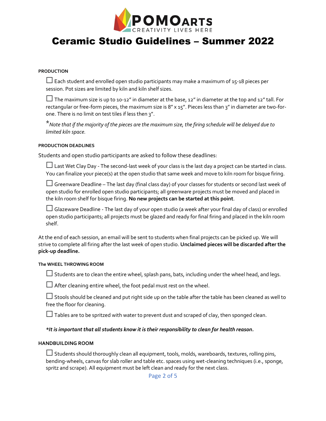

#### **PRODUCTION**

 $\Box$  Each student and enrolled open studio participants may make a maximum of 15-18 pieces per session. Pot sizes are limited by kiln and kiln shelf sizes.

 $\Box$  The maximum size is up to 10-12" in diameter at the base, 12" in diameter at the top and 12" tall. For rectangular or free-form pieces, the maximum size is 8" x 15". Pieces less than 3" in diameter are two-forone. There is no limit on test tiles if less then 3".

\**Note that if the majority of the pieces are the maximum size, the firing schedule will be delayed due to limited kiln space.*

### **PRODUCTION DEADLINES**

Students and open studio participants are asked to follow these deadlines:

☐Last Wet Clay Day - The second-last week of your class is the last day a project can be started in class. You can finalize your piece(s) at the open studio that same week and move to kiln room for bisque firing.

 $\Box$  Greenware Deadline – The last day (final class day) of your classes for students or second last week of open studio for enrolled open studio participants; all greenware projects must be moved and placed in the kiln room shelf for bisque firing. **No new projects can be started at this point**.

☐Glazeware Deadline - The last day of your open studio (a week after your final day of class) or enrolled open studio participants; all projects must be glazed and ready for final firing and placed in the kiln room shelf.

At the end of each session, an email will be sent to students when final projects can be picked up. We will strive to complete all firing after the last week of open studio. **Unclaimed pieces will be discarded after the pick-up deadline.** 

#### **The WHEEL THROWING ROOM**

 $\Box$  Students are to clean the entire wheel, splash pans, bats, including under the wheel head, and legs.

 $\Box$  After cleaning entire wheel, the foot pedal must rest on the wheel.

 $\Box$  Stools should be cleaned and put right side up on the table after the table has been cleaned as well to free the floor for cleaning.

 $\Box$  Tables are to be spritzed with water to prevent dust and scraped of clay, then sponged clean.

### *\*It is important that all students know it is their responsibility to clean for health reason.*

### **HANDBUILDING ROOM**

 $\Box$  Students should thoroughly clean all equipment, tools, molds, wareboards, textures, rolling pins, bending-wheels, canvas for slab roller and table etc. spaces using wet-cleaning techniques (i.e., sponge, spritz and scrape). All equipment must be left clean and ready for the next class.

Page 2 of 5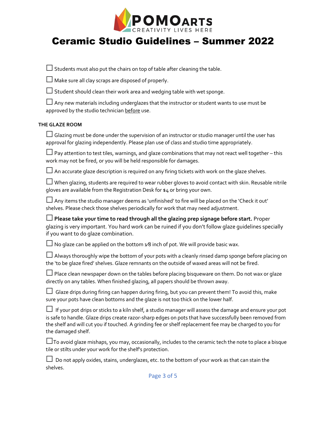

 $\Box$  Students must also put the chairs on top of table after cleaning the table.

 $\Box$  Make sure all clay scraps are disposed of properly.

 $\Box$  Student should clean their work area and wedging table with wet sponge.

 $\Box$  Any new materials including underglazes that the instructor or student wants to use must be approved by the studio technician before use.

### **THE GLAZE ROOM**

 $\Box$  Glazing must be done under the supervision of an instructor or studio manager until the user has approval for glazing independently. Please plan use of class and studio time appropriately.

 $\Box$  Pay attention to test tiles, warnings, and glaze combinations that may not react well together – this work may not be fired, or you will be held responsible for damages.

 $\Box$  An accurate glaze description is required on any firing tickets with work on the glaze shelves.

 $\Box$  When glazing, students are required to wear rubber gloves to avoid contact with skin. Reusable nitrile gloves are available from the Registration Desk for \$4 or bring your own.

 $\Box$  Any items the studio manager deems as 'unfinished' to fire will be placed on the 'Check it out' shelves. Please check those shelves periodically for work that may need adjustment.

☐**Please take your time to read through all the glazing prep signage before start.** Proper glazing is very important. You hard work can be ruined if you don't follow glaze guidelines specially if you want to do glaze combination.

 $□$  No glaze can be applied on the bottom  $1/8$  inch of pot. We will provide basic wax.

 $\Box$  Always thoroughly wipe the bottom of your pots with a cleanly rinsed damp sponge before placing on the 'to be glaze fired' shelves. Glaze remnants on the outside of waxed areas will not be fired.

 $\Box$  Place clean newspaper down on the tables before placing bisqueware on them. Do not wax or glaze directly on any tables. When finished glazing, all papers should be thrown away.

 $□$  Glaze drips during firing can happen during firing, but you can prevent them! To avoid this, make sure your pots have clean bottoms and the glaze is not too thick on the lower half.

☐ If your pot drips or sticks to a kiln shelf, a studio manager will assess the damage and ensure your pot is safe to handle. Glaze drips create razor-sharp edges on pots that have successfully been removed from the shelf and will cut you if touched. A grinding fee or shelf replacement fee may be charged to you for the damaged shelf.

 $\Box$ To avoid glaze mishaps, you may, occasionally, includes to the ceramic tech the note to place a bisque tile or stilts under your work for the shelf's protection.

 $\Box$  Do not apply oxides, stains, underglazes, etc. to the bottom of your work as that can stain the shelves.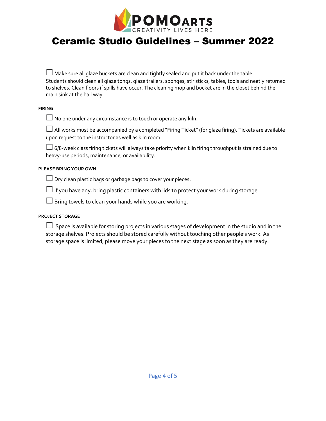

| $\Box$ Make sure all glaze buckets are clean and tightly sealed and put it back under the table.               |
|----------------------------------------------------------------------------------------------------------------|
| Students should clean all glaze tongs, glaze trailers, sponges, stir sticks, tables, tools and neatly returned |
| to shelves. Clean floors if spills have occur. The cleaning mop and bucket are in the closet behind the        |
| main sink at the hall way.                                                                                     |

### **FIRING**

 $\Box$  No one under any circumstance is to touch or operate any kiln.

☐All works must be accompanied by a completed "Firing Ticket" (for glaze firing). Tickets are available upon request to the instructor as well as kiln room.

 $\Box$  6/8-week class firing tickets will always take priority when kiln firing throughput is strained due to heavy-use periods, maintenance, or availability.

### **PLEASE BRING YOUR OWN**

 $\Box$  Dry clean plastic bags or garbage bags to cover your pieces.

 $\Box$  If you have any, bring plastic containers with lids to protect your work during storage.

 $\square$  Bring towels to clean your hands while you are working.

### **PROJECT STORAGE**

 $□$  Space is available for storing projects in various stages of development in the studio and in the storage shelves. Projects should be stored carefully without touching other people's work. As storage space is limited, please move your pieces to the next stage as soon as they are ready.